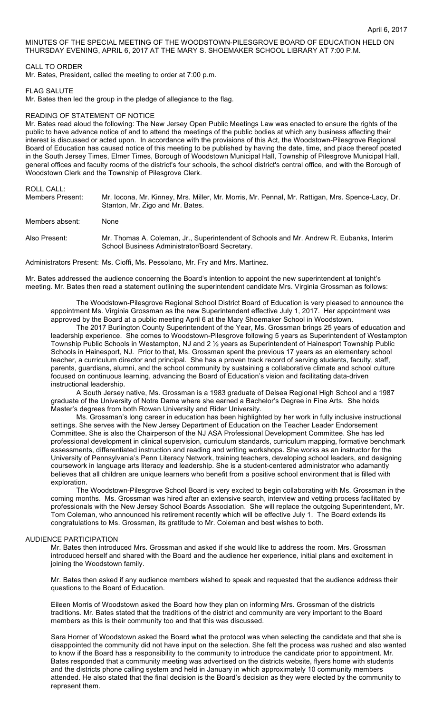MINUTES OF THE SPECIAL MEETING OF THE WOODSTOWN-PILESGROVE BOARD OF EDUCATION HELD ON THURSDAY EVENING, APRIL 6, 2017 AT THE MARY S. SHOEMAKER SCHOOL LIBRARY AT 7:00 P.M.

## CALL TO ORDER

Mr. Bates, President, called the meeting to order at 7:00 p.m.

#### FLAG SALUTE

Mr. Bates then led the group in the pledge of allegiance to the flag.

#### READING OF STATEMENT OF NOTICE

Mr. Bates read aloud the following: The New Jersey Open Public Meetings Law was enacted to ensure the rights of the public to have advance notice of and to attend the meetings of the public bodies at which any business affecting their interest is discussed or acted upon. In accordance with the provisions of this Act, the Woodstown-Pilesgrove Regional Board of Education has caused notice of this meeting to be published by having the date, time, and place thereof posted in the South Jersey Times, Elmer Times, Borough of Woodstown Municipal Hall, Township of Pilesgrove Municipal Hall, general offices and faculty rooms of the district's four schools, the school district's central office, and with the Borough of Woodstown Clerk and the Township of Pilesgrove Clerk.

# ROLL CALL:

| Members Present: | Mr. locona, Mr. Kinney, Mrs. Miller, Mr. Morris, Mr. Pennal, Mr. Rattigan, Mrs. Spence-Lacy, Dr.<br>Stanton, Mr. Zigo and Mr. Bates.       |
|------------------|--------------------------------------------------------------------------------------------------------------------------------------------|
| Members absent:  | None                                                                                                                                       |
| Also Present:    | Mr. Thomas A. Coleman, Jr., Superintendent of Schools and Mr. Andrew R. Eubanks, Interim<br>School Business Administrator/Board Secretary. |

Administrators Present: Ms. Cioffi, Ms. Pessolano, Mr. Fry and Mrs. Martinez.

Mr. Bates addressed the audience concerning the Board's intention to appoint the new superintendent at tonight's meeting. Mr. Bates then read a statement outlining the superintendent candidate Mrs. Virginia Grossman as follows:

The Woodstown-Pilesgrove Regional School District Board of Education is very pleased to announce the appointment Ms. Virginia Grossman as the new Superintendent effective July 1, 2017. Her appointment was approved by the Board at a public meeting April 6 at the Mary Shoemaker School in Woodstown.

The 2017 Burlington County Superintendent of the Year, Ms. Grossman brings 25 years of education and leadership experience. She comes to Woodstown-Pilesgrove following 5 years as Superintendent of Westampton Township Public Schools in Westampton, NJ and 2 ½ years as Superintendent of Hainesport Township Public Schools in Hainesport, NJ. Prior to that, Ms. Grossman spent the previous 17 years as an elementary school teacher, a curriculum director and principal. She has a proven track record of serving students, faculty, staff, parents, guardians, alumni, and the school community by sustaining a collaborative climate and school culture focused on continuous learning, advancing the Board of Education's vision and facilitating data-driven instructional leadership.

A South Jersey native, Ms. Grossman is a 1983 graduate of Delsea Regional High School and a 1987 graduate of the University of Notre Dame where she earned a Bachelor's Degree in Fine Arts. She holds Master's degrees from both Rowan University and Rider University.

Ms. Grossman's long career in education has been highlighted by her work in fully inclusive instructional settings. She serves with the New Jersey Department of Education on the Teacher Leader Endorsement Committee. She is also the Chairperson of the NJ ASA Professional Development Committee. She has led professional development in clinical supervision, curriculum standards, curriculum mapping, formative benchmark assessments, differentiated instruction and reading and writing workshops. She works as an instructor for the University of Pennsylvania's Penn Literacy Network, training teachers, developing school leaders, and designing coursework in language arts literacy and leadership. She is a student-centered administrator who adamantly believes that all children are unique learners who benefit from a positive school environment that is filled with exploration.

The Woodstown-Pilesgrove School Board is very excited to begin collaborating with Ms. Grossman in the coming months. Ms. Grossman was hired after an extensive search, interview and vetting process facilitated by professionals with the New Jersey School Boards Association. She will replace the outgoing Superintendent, Mr. Tom Coleman, who announced his retirement recently which will be effective July 1. The Board extends its congratulations to Ms. Grossman, its gratitude to Mr. Coleman and best wishes to both.

## AUDIENCE PARTICIPATION

Mr. Bates then introduced Mrs. Grossman and asked if she would like to address the room. Mrs. Grossman introduced herself and shared with the Board and the audience her experience, initial plans and excitement in joining the Woodstown family.

Mr. Bates then asked if any audience members wished to speak and requested that the audience address their questions to the Board of Education.

Eileen Morris of Woodstown asked the Board how they plan on informing Mrs. Grossman of the districts traditions. Mr. Bates stated that the traditions of the district and community are very important to the Board members as this is their community too and that this was discussed.

Sara Horner of Woodstown asked the Board what the protocol was when selecting the candidate and that she is disappointed the community did not have input on the selection. She felt the process was rushed and also wanted to know if the Board has a responsibility to the community to introduce the candidate prior to appointment. Mr. Bates responded that a community meeting was advertised on the districts website, flyers home with students and the districts phone calling system and held in January in which approximately 10 community members attended. He also stated that the final decision is the Board's decision as they were elected by the community to represent them.